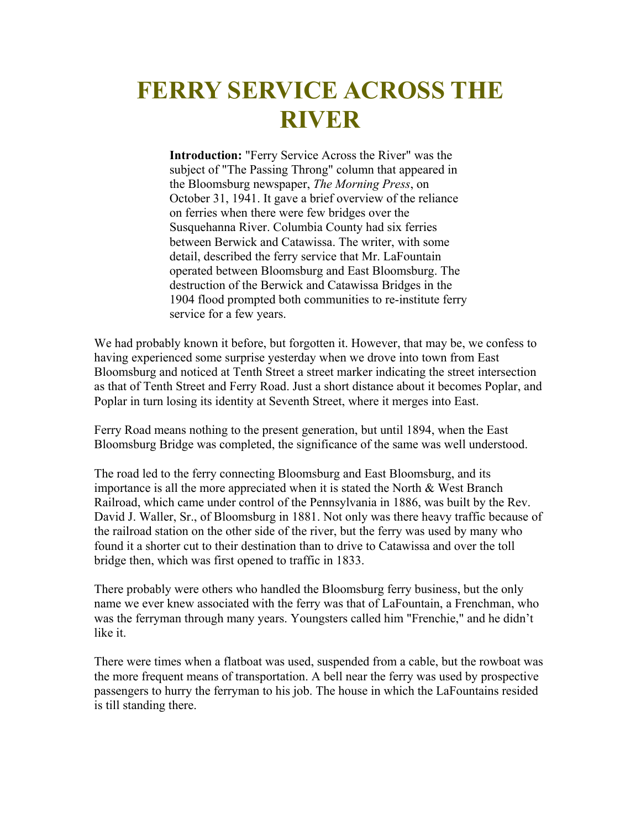## **FERRY SERVICE ACROSS THE RIVER**

**Introduction:** "Ferry Service Across the River" was the subject of "The Passing Throng" column that appeared in the Bloomsburg newspaper, *The Morning Press*, on October 31, 1941. It gave a brief overview of the reliance on ferries when there were few bridges over the Susquehanna River. Columbia County had six ferries between Berwick and Catawissa. The writer, with some detail, described the ferry service that Mr. LaFountain operated between Bloomsburg and East Bloomsburg. The destruction of the Berwick and Catawissa Bridges in the 1904 flood prompted both communities to re-institute ferry service for a few years.

We had probably known it before, but forgotten it. However, that may be, we confess to having experienced some surprise yesterday when we drove into town from East Bloomsburg and noticed at Tenth Street a street marker indicating the street intersection as that of Tenth Street and Ferry Road. Just a short distance about it becomes Poplar, and Poplar in turn losing its identity at Seventh Street, where it merges into East.

Ferry Road means nothing to the present generation, but until 1894, when the East Bloomsburg Bridge was completed, the significance of the same was well understood.

The road led to the ferry connecting Bloomsburg and East Bloomsburg, and its importance is all the more appreciated when it is stated the North & West Branch Railroad, which came under control of the Pennsylvania in 1886, was built by the Rev. David J. Waller, Sr., of Bloomsburg in 1881. Not only was there heavy traffic because of the railroad station on the other side of the river, but the ferry was used by many who found it a shorter cut to their destination than to drive to Catawissa and over the toll bridge then, which was first opened to traffic in 1833.

There probably were others who handled the Bloomsburg ferry business, but the only name we ever knew associated with the ferry was that of LaFountain, a Frenchman, who was the ferryman through many years. Youngsters called him "Frenchie," and he didn't like it.

There were times when a flatboat was used, suspended from a cable, but the rowboat was the more frequent means of transportation. A bell near the ferry was used by prospective passengers to hurry the ferryman to his job. The house in which the LaFountains resided is till standing there.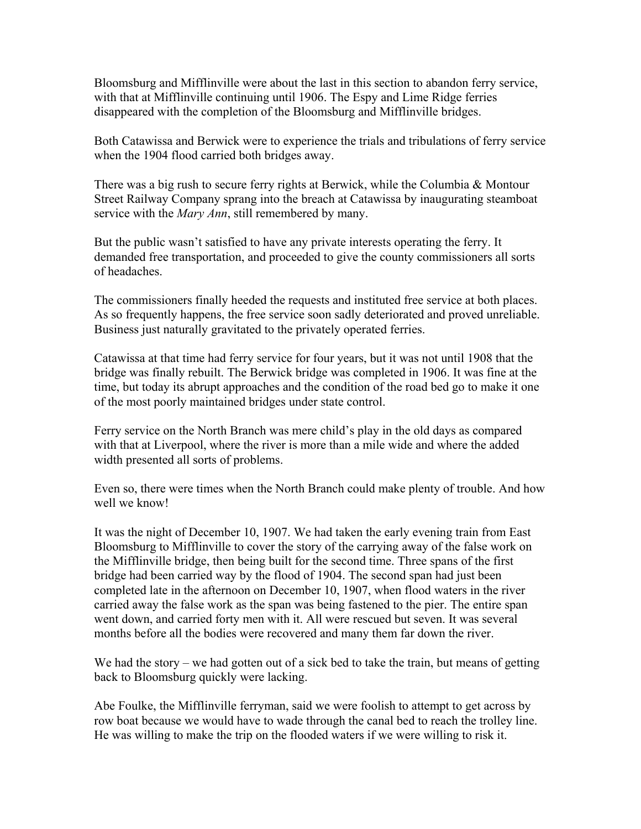Bloomsburg and Mifflinville were about the last in this section to abandon ferry service, with that at Mifflinville continuing until 1906. The Espy and Lime Ridge ferries disappeared with the completion of the Bloomsburg and Mifflinville bridges.

Both Catawissa and Berwick were to experience the trials and tribulations of ferry service when the 1904 flood carried both bridges away.

There was a big rush to secure ferry rights at Berwick, while the Columbia & Montour Street Railway Company sprang into the breach at Catawissa by inaugurating steamboat service with the *Mary Ann*, still remembered by many.

But the public wasn't satisfied to have any private interests operating the ferry. It demanded free transportation, and proceeded to give the county commissioners all sorts of headaches.

The commissioners finally heeded the requests and instituted free service at both places. As so frequently happens, the free service soon sadly deteriorated and proved unreliable. Business just naturally gravitated to the privately operated ferries.

Catawissa at that time had ferry service for four years, but it was not until 1908 that the bridge was finally rebuilt. The Berwick bridge was completed in 1906. It was fine at the time, but today its abrupt approaches and the condition of the road bed go to make it one of the most poorly maintained bridges under state control.

Ferry service on the North Branch was mere child's play in the old days as compared with that at Liverpool, where the river is more than a mile wide and where the added width presented all sorts of problems.

Even so, there were times when the North Branch could make plenty of trouble. And how well we know!

It was the night of December 10, 1907. We had taken the early evening train from East Bloomsburg to Mifflinville to cover the story of the carrying away of the false work on the Mifflinville bridge, then being built for the second time. Three spans of the first bridge had been carried way by the flood of 1904. The second span had just been completed late in the afternoon on December 10, 1907, when flood waters in the river carried away the false work as the span was being fastened to the pier. The entire span went down, and carried forty men with it. All were rescued but seven. It was several months before all the bodies were recovered and many them far down the river.

We had the story – we had gotten out of a sick bed to take the train, but means of getting back to Bloomsburg quickly were lacking.

Abe Foulke, the Mifflinville ferryman, said we were foolish to attempt to get across by row boat because we would have to wade through the canal bed to reach the trolley line. He was willing to make the trip on the flooded waters if we were willing to risk it.